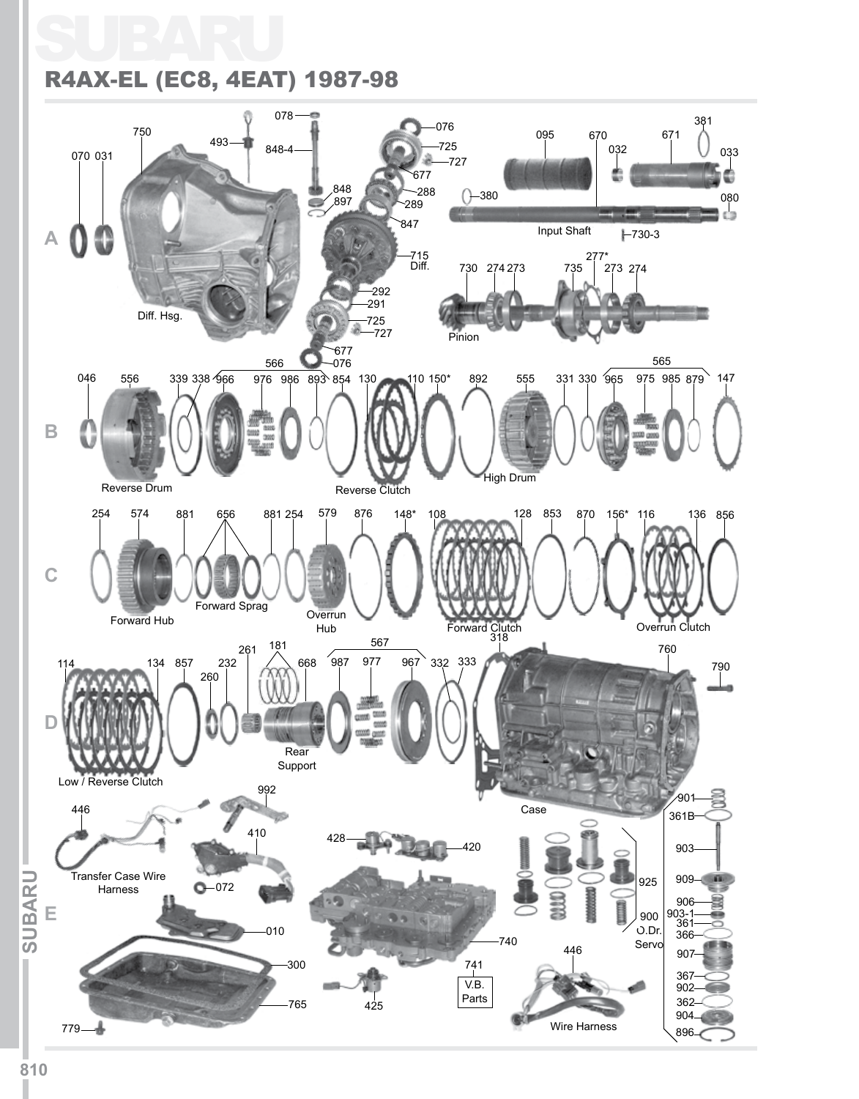## SUBARU R4AX-EL (EC8, 4EAT) 1987-98